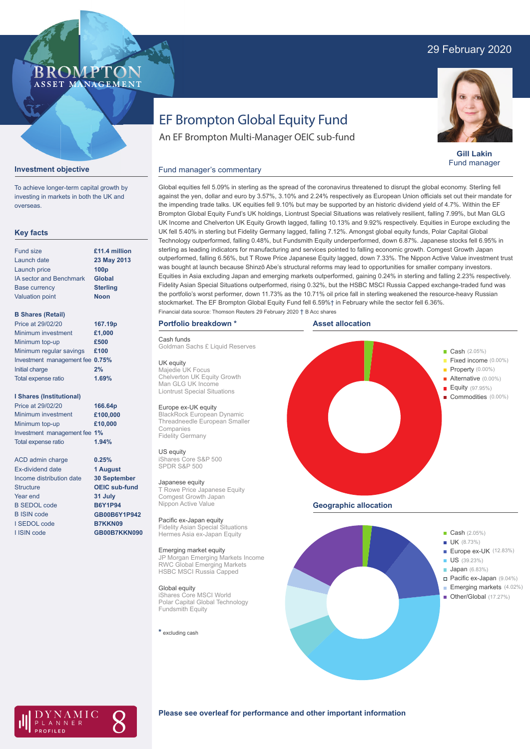# 29 February 2020

# **BROMP** ASSET MANAGEMENT

**Gill Lakin** Fund manager

# EF Brompton Global Equity Fund

An EF Brompton Multi-Manager OEIC sub-fund

#### **Investment objective**

To achieve longer-term capital growth by investing in markets in both the UK and overseas.

### **Key facts**

| <b>Fund size</b>               | £11.4 million    |
|--------------------------------|------------------|
| Launch date                    | 23 May 2013      |
| Launch price                   | 100 <sub>p</sub> |
| <b>IA sector and Benchmark</b> | Global           |
| <b>Base currency</b>           | <b>Sterling</b>  |
| <b>Valuation point</b>         | <b>Noon</b>      |
|                                |                  |

#### **B Shares (Retail)**

| Price at 29/02/20               | 167.19p |
|---------------------------------|---------|
| Minimum investment              | £1,000  |
| Minimum top-up                  | £500    |
| Minimum regular savings         | £100    |
| Investment management fee 0.75% |         |
| Initial charge                  | 2%      |
| Total expense ratio             | 1.69%   |
|                                 |         |

#### **I Shares (Institutional)**

Minimum investment Minimum top-up Investment management fee **1%** Total expense ratio **£100,000 £10,000** Price at 29/02/20 **166.64p 1.94%**

> **0.25% 1 August 30 September OEIC sub-fund 31 July B6Y1P94 GB00B6Y1P942 B7KKN09 GB00B7KKN090**

ACD admin charge Ex-dividend date Income distribution date Structure Year end B SEDOL code B ISIN code I SEDOL code I ISIN code

Global equities fell 5.09% in sterling as the spread of the coronavirus threatened to disrupt the global economy. Sterling fell against the yen, dollar and euro by 3.57%, 3.10% and 2.24% respectively as European Union officials set out their mandate for the impending trade talks. UK equities fell 9.10% but may be supported by an historic dividend yield of 4.7%. Within the EF Brompton Global Equity Fund's UK holdings, Liontrust Special Situations was relatively resilient, falling 7.99%, but Man GLG UK Income and Chelverton UK Equity Growth lagged, falling 10.13% and 9.92% respectively. Equities in Europe excluding the UK fell 5.40% in sterling but Fidelity Germany lagged, falling 7.12%. Amongst global equity funds, Polar Capital Global Technology outperformed, falling 0.48%, but Fundsmith Equity underperformed, down 6.87%. Japanese stocks fell 6.95% in sterling as leading indicators for manufacturing and services pointed to falling economic growth. Comgest Growth Japan outperformed, falling 6.56%, but T Rowe Price Japanese Equity lagged, down 7.33%. The Nippon Active Value investment trust was bought at launch because Shinzō Abe's structural reforms may lead to opportunities for smaller company investors. Equities in Asia excluding Japan and emerging markets outperformed, gaining 0.24% in sterling and falling 2.23% respectively. Fidelity Asian Special Situations outperformed, rising 0.32%, but the HSBC MSCI Russia Capped exchange-traded fund was the portfolio's worst performer, down 11.73% as the 10.71% oil price fall in sterling weakened the resource-heavy Russian stockmarket. The EF Brompton Global Equity Fund fell 6.59%† in February while the sector fell 6.36%.

# **Portfolio breakdown \***

#### Cash funds

Goldman Sachs £ Liquid Reserves

Fund manager's commentary

UK equity Majedie UK Focus Chelverton UK Equity Growth Man GLG UK Income Liontrust Special Situations

#### Europe ex-UK equity

BlackRock European Dynamic Threadneedle European Smaller Companies Fidelity Germany

### US equity

iShares Core S&P 500 SPDR S&P 500

#### Japanese equity

T Rowe Price Japanese Equity Comgest Growth Japan Nippon Active Value

Pacific ex-Japan equity Fidelity Asian Special Situations Hermes Asia ex-Japan Equity

#### Emerging market equity

JP Morgan Emerging Markets Income RWC Global Emerging Markets HSBC MSCI Russia Capped

#### Global equity

iShares Core MSCI World Polar Capital Global Technology Fundsmith Equity

#### **\*** excluding cash







#### **Please see overleaf for performance and other important information**